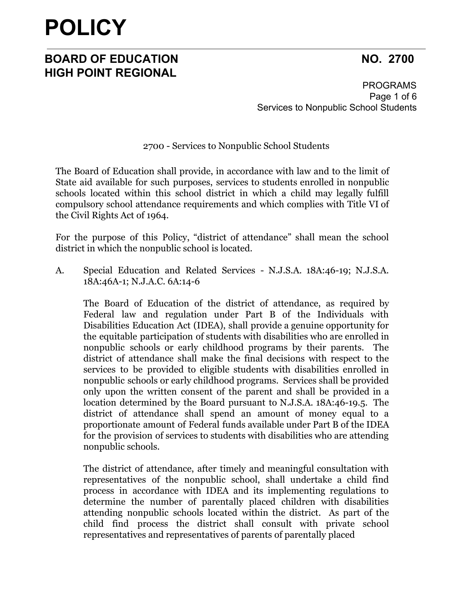### **BOARD OF EDUCATION NO. 2700 HIGH POINT REGIONAL**

PROGRAMS Page 1 of 6 Services to Nonpublic School Students

2700 - Services to Nonpublic School Students

The Board of Education shall provide, in accordance with law and to the limit of State aid available for such purposes, services to students enrolled in nonpublic schools located within this school district in which a child may legally fulfill compulsory school attendance requirements and which complies with Title VI of the Civil Rights Act of 1964.

For the purpose of this Policy, "district of attendance" shall mean the school district in which the nonpublic school is located.

A. Special Education and Related Services - N.J.S.A. 18A:46-19; N.J.S.A. 18A:46A-1; N.J.A.C. 6A:14-6

The Board of Education of the district of attendance, as required by Federal law and regulation under Part B of the Individuals with Disabilities Education Act (IDEA), shall provide a genuine opportunity for the equitable participation of students with disabilities who are enrolled in nonpublic schools or early childhood programs by their parents. The district of attendance shall make the final decisions with respect to the services to be provided to eligible students with disabilities enrolled in nonpublic schools or early childhood programs. Services shall be provided only upon the written consent of the parent and shall be provided in a location determined by the Board pursuant to N.J.S.A. 18A:46-19.5. The district of attendance shall spend an amount of money equal to a proportionate amount of Federal funds available under Part B of the IDEA for the provision of services to students with disabilities who are attending nonpublic schools.

The district of attendance, after timely and meaningful consultation with representatives of the nonpublic school, shall undertake a child find process in accordance with IDEA and its implementing regulations to determine the number of parentally placed children with disabilities attending nonpublic schools located within the district. As part of the child find process the district shall consult with private school representatives and representatives of parents of parentally placed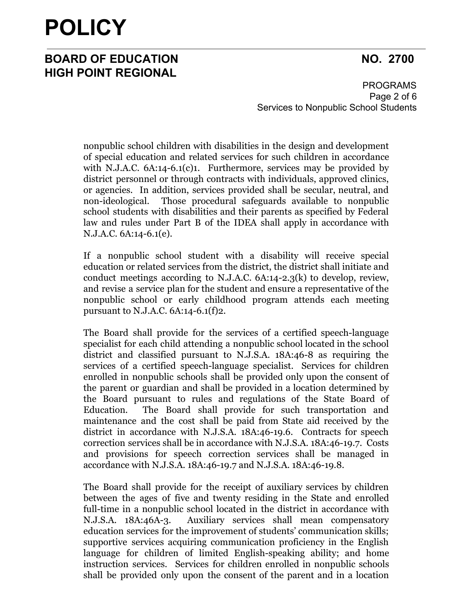### **BOARD OF EDUCATION NO. 2700 HIGH POINT REGIONAL**

PROGRAMS Page 2 of 6 Services to Nonpublic School Students

nonpublic school children with disabilities in the design and development of special education and related services for such children in accordance with N.J.A.C. 6A:14-6.1(c)1. Furthermore, services may be provided by district personnel or through contracts with individuals, approved clinics, or agencies. In addition, services provided shall be secular, neutral, and non-ideological. Those procedural safeguards available to nonpublic school students with disabilities and their parents as specified by Federal law and rules under Part B of the IDEA shall apply in accordance with N.J.A.C. 6A:14-6.1(e).

If a nonpublic school student with a disability will receive special education or related services from the district, the district shall initiate and conduct meetings according to N.J.A.C.  $6A:14-2.3(k)$  to develop, review, and revise a service plan for the student and ensure a representative of the nonpublic school or early childhood program attends each meeting pursuant to N.J.A.C. 6A:14-6.1(f)2.

The Board shall provide for the services of a certified speech-language specialist for each child attending a nonpublic school located in the school district and classified pursuant to N.J.S.A. 18A:46-8 as requiring the services of a certified speech-language specialist. Services for children enrolled in nonpublic schools shall be provided only upon the consent of the parent or guardian and shall be provided in a location determined by the Board pursuant to rules and regulations of the State Board of Education. The Board shall provide for such transportation and maintenance and the cost shall be paid from State aid received by the district in accordance with N.J.S.A. 18A:46-19.6. Contracts for speech correction services shall be in accordance with N.J.S.A. 18A:46-19.7. Costs and provisions for speech correction services shall be managed in accordance with N.J.S.A. 18A:46-19.7 and N.J.S.A. 18A:46-19.8.

The Board shall provide for the receipt of auxiliary services by children between the ages of five and twenty residing in the State and enrolled full-time in a nonpublic school located in the district in accordance with N.J.S.A. 18A:46A-3. Auxiliary services shall mean compensatory education services for the improvement of students' communication skills; supportive services acquiring communication proficiency in the English language for children of limited English-speaking ability; and home instruction services. Services for children enrolled in nonpublic schools shall be provided only upon the consent of the parent and in a location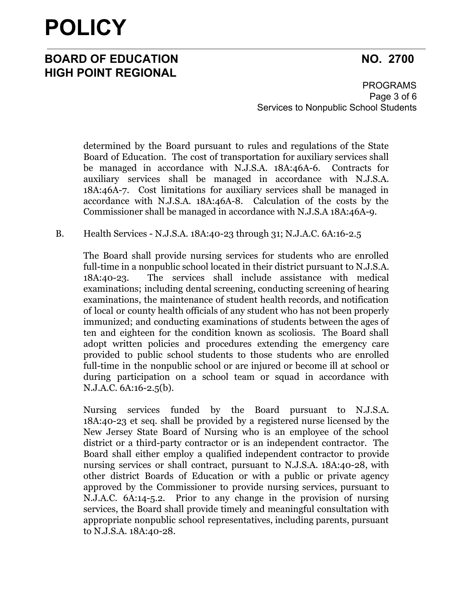### **BOARD OF EDUCATION NO. 2700 HIGH POINT REGIONAL**

PROGRAMS Page 3 of 6 Services to Nonpublic School Students

determined by the Board pursuant to rules and regulations of the State Board of Education. The cost of transportation for auxiliary services shall be managed in accordance with N.J.S.A. 18A:46A-6. Contracts for auxiliary services shall be managed in accordance with N.J.S.A. 18A:46A-7. Cost limitations for auxiliary services shall be managed in accordance with N.J.S.A. 18A:46A-8. Calculation of the costs by the Commissioner shall be managed in accordance with N.J.S.A 18A:46A-9.

#### B. Health Services - N.J.S.A. 18A:40-23 through 31; N.J.A.C. 6A:16-2.5

The Board shall provide nursing services for students who are enrolled full-time in a nonpublic school located in their district pursuant to N.J.S.A. 18A:40-23. The services shall include assistance with medical examinations; including dental screening, conducting screening of hearing examinations, the maintenance of student health records, and notification of local or county health officials of any student who has not been properly immunized; and conducting examinations of students between the ages of ten and eighteen for the condition known as scoliosis. The Board shall adopt written policies and procedures extending the emergency care provided to public school students to those students who are enrolled full-time in the nonpublic school or are injured or become ill at school or during participation on a school team or squad in accordance with N.J.A.C. 6A:16-2.5(b).

Nursing services funded by the Board pursuant to N.J.S.A. 18A:40-23 et seq. shall be provided by a registered nurse licensed by the New Jersey State Board of Nursing who is an employee of the school district or a third-party contractor or is an independent contractor. The Board shall either employ a qualified independent contractor to provide nursing services or shall contract, pursuant to N.J.S.A. 18A:40-28, with other district Boards of Education or with a public or private agency approved by the Commissioner to provide nursing services, pursuant to N.J.A.C. 6A:14-5.2. Prior to any change in the provision of nursing services, the Board shall provide timely and meaningful consultation with appropriate nonpublic school representatives, including parents, pursuant to N.J.S.A. 18A:40-28.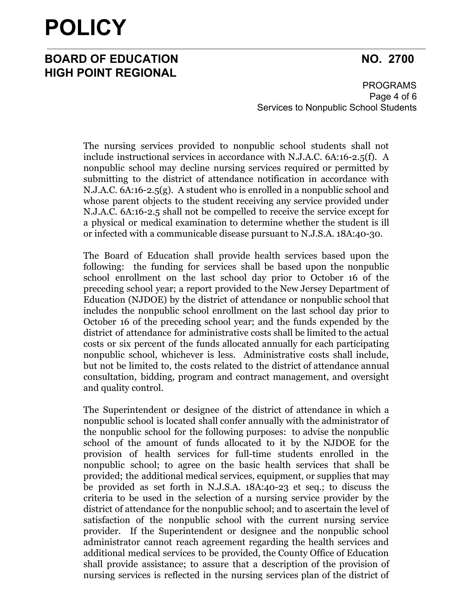### **BOARD OF EDUCATION NO. 2700 HIGH POINT REGIONAL**

PROGRAMS Page 4 of 6 Services to Nonpublic School Students

The nursing services provided to nonpublic school students shall not include instructional services in accordance with N.J.A.C. 6A:16-2.5(f). A nonpublic school may decline nursing services required or permitted by submitting to the district of attendance notification in accordance with N.J.A.C. 6A:16-2.5(g). A student who is enrolled in a nonpublic school and whose parent objects to the student receiving any service provided under N.J.A.C. 6A:16-2.5 shall not be compelled to receive the service except for a physical or medical examination to determine whether the student is ill or infected with a communicable disease pursuant to N.J.S.A. 18A:40-30.

The Board of Education shall provide health services based upon the following: the funding for services shall be based upon the nonpublic school enrollment on the last school day prior to October 16 of the preceding school year; a report provided to the New Jersey Department of Education (NJDOE) by the district of attendance or nonpublic school that includes the nonpublic school enrollment on the last school day prior to October 16 of the preceding school year; and the funds expended by the district of attendance for administrative costs shall be limited to the actual costs or six percent of the funds allocated annually for each participating nonpublic school, whichever is less. Administrative costs shall include, but not be limited to, the costs related to the district of attendance annual consultation, bidding, program and contract management, and oversight and quality control.

The Superintendent or designee of the district of attendance in which a nonpublic school is located shall confer annually with the administrator of the nonpublic school for the following purposes: to advise the nonpublic school of the amount of funds allocated to it by the NJDOE for the provision of health services for full-time students enrolled in the nonpublic school; to agree on the basic health services that shall be provided; the additional medical services, equipment, or supplies that may be provided as set forth in N.J.S.A. [18A:40-23](https://advance.lexis.com/document/?pdmfid=1000516&crid=ade818a4-e3b3-4031-a37e-03b340d5261a&pddocfullpath=%2Fshared%2Fdocument%2Fadministrative-codes%2Furn%3AcontentItem%3A5NNT-TPJ0-00BY-K4M3-00000-00&pdtocnodeidentifier=AAJAAVAADAAF&ecomp=28htkkk&prid=f64895db-a191-402e-b7af-d2be4c0a88a6) et seq.; to discuss the criteria to be used in the selection of a nursing service provider by the district of attendance for the nonpublic school; and to ascertain the level of satisfaction of the nonpublic school with the current nursing service provider. If the Superintendent or designee and the nonpublic school administrator cannot reach agreement regarding the health services and additional medical services to be provided, the County Office of Education shall provide assistance; to assure that a description of the provision of nursing services is reflected in the nursing services plan of the district of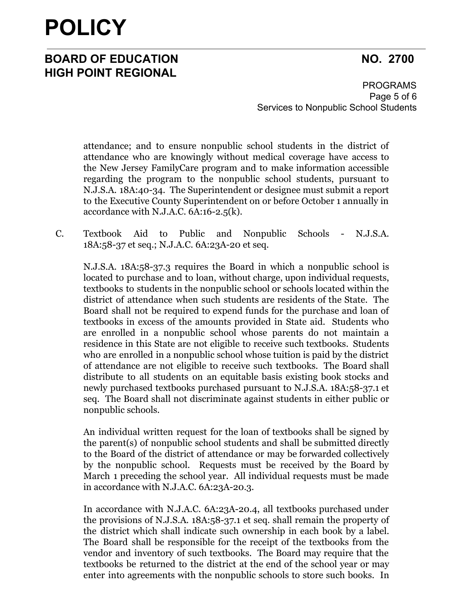### **BOARD OF EDUCATION NO. 2700 HIGH POINT REGIONAL**

PROGRAMS Page 5 of 6 Services to Nonpublic School Students

attendance; and to ensure nonpublic school students in the district of attendance who are knowingly without medical coverage have access to the New Jersey FamilyCare program and to make information accessible regarding the program to the nonpublic school students, pursuant to N.J.S.A. 18A:40-34. The Superintendent or designee must submit a report to the Executive County Superintendent on or before October 1 annually in accordance with N.J.A.C.  $6A:16-2.5(k)$ .

C. Textbook Aid to Public and Nonpublic Schools - N.J.S.A. 18A:58-37 et seq.; N.J.A.C. 6A:23A-20 et seq.

N.J.S.A. 18A:58-37.3 requires the Board in which a nonpublic school is located to purchase and to loan, without charge, upon individual requests, textbooks to students in the nonpublic school or schools located within the district of attendance when such students are residents of the State. The Board shall not be required to expend funds for the purchase and loan of textbooks in excess of the amounts provided in State aid. Students who are enrolled in a nonpublic school whose parents do not maintain a residence in this State are not eligible to receive such textbooks. Students who are enrolled in a nonpublic school whose tuition is paid by the district of attendance are not eligible to receive such textbooks. The Board shall distribute to all students on an equitable basis existing book stocks and newly purchased textbooks purchased pursuant to N.J.S.A. 18A:58-37.1 et seq. The Board shall not discriminate against students in either public or nonpublic schools.

An individual written request for the loan of textbooks shall be signed by the parent(s) of nonpublic school students and shall be submitted directly to the Board of the district of attendance or may be forwarded collectively by the nonpublic school. Requests must be received by the Board by March 1 preceding the school year. All individual requests must be made in accordance with N.J.A.C. 6A:23A-20.3.

In accordance with N.J.A.C. 6A:23A-20.4, all textbooks purchased under the provisions of N.J.S.A. 18A:58-37.1 et seq. shall remain the property of the district which shall indicate such ownership in each book by a label. The Board shall be responsible for the receipt of the textbooks from the vendor and inventory of such textbooks. The Board may require that the textbooks be returned to the district at the end of the school year or may enter into agreements with the nonpublic schools to store such books. In